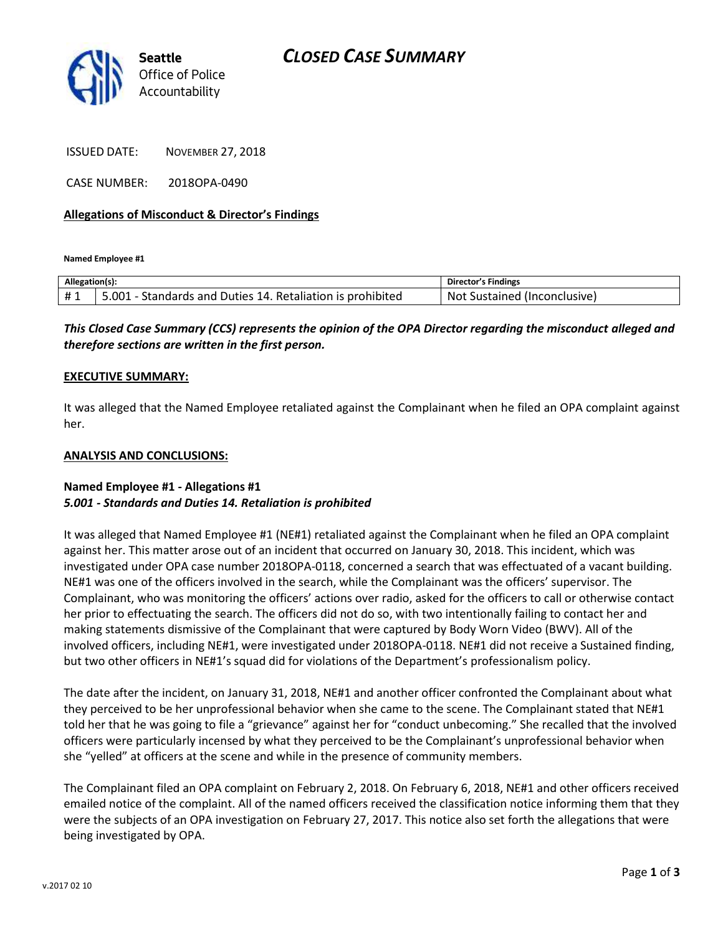

ISSUED DATE: NOVEMBER 27, 2018

CASE NUMBER: 2018OPA-0490

## **Allegations of Misconduct & Director's Findings**

**Named Employee #1**

| Allegation(s): |                                                                 | <b>Director's Findings</b>   |
|----------------|-----------------------------------------------------------------|------------------------------|
| #1             | 5.001<br>1 - Standards and Duties 14. Retaliation is prohibited | Not Sustained (Inconclusive) |

*This Closed Case Summary (CCS) represents the opinion of the OPA Director regarding the misconduct alleged and therefore sections are written in the first person.* 

#### **EXECUTIVE SUMMARY:**

It was alleged that the Named Employee retaliated against the Complainant when he filed an OPA complaint against her.

#### **ANALYSIS AND CONCLUSIONS:**

## **Named Employee #1 - Allegations #1** *5.001 - Standards and Duties 14. Retaliation is prohibited*

It was alleged that Named Employee #1 (NE#1) retaliated against the Complainant when he filed an OPA complaint against her. This matter arose out of an incident that occurred on January 30, 2018. This incident, which was investigated under OPA case number 2018OPA-0118, concerned a search that was effectuated of a vacant building. NE#1 was one of the officers involved in the search, while the Complainant was the officers' supervisor. The Complainant, who was monitoring the officers' actions over radio, asked for the officers to call or otherwise contact her prior to effectuating the search. The officers did not do so, with two intentionally failing to contact her and making statements dismissive of the Complainant that were captured by Body Worn Video (BWV). All of the involved officers, including NE#1, were investigated under 2018OPA-0118. NE#1 did not receive a Sustained finding, but two other officers in NE#1's squad did for violations of the Department's professionalism policy.

The date after the incident, on January 31, 2018, NE#1 and another officer confronted the Complainant about what they perceived to be her unprofessional behavior when she came to the scene. The Complainant stated that NE#1 told her that he was going to file a "grievance" against her for "conduct unbecoming." She recalled that the involved officers were particularly incensed by what they perceived to be the Complainant's unprofessional behavior when she "yelled" at officers at the scene and while in the presence of community members.

The Complainant filed an OPA complaint on February 2, 2018. On February 6, 2018, NE#1 and other officers received emailed notice of the complaint. All of the named officers received the classification notice informing them that they were the subjects of an OPA investigation on February 27, 2017. This notice also set forth the allegations that were being investigated by OPA.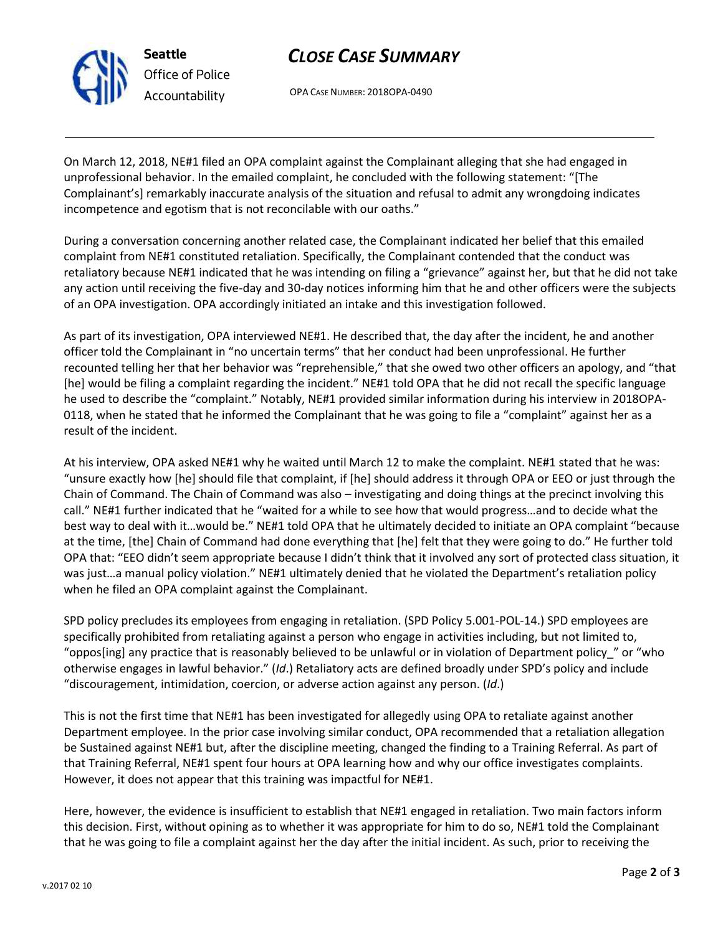

# *CLOSE CASE SUMMARY*

OPA CASE NUMBER: 2018OPA-0490

On March 12, 2018, NE#1 filed an OPA complaint against the Complainant alleging that she had engaged in unprofessional behavior. In the emailed complaint, he concluded with the following statement: "[The Complainant's] remarkably inaccurate analysis of the situation and refusal to admit any wrongdoing indicates incompetence and egotism that is not reconcilable with our oaths."

During a conversation concerning another related case, the Complainant indicated her belief that this emailed complaint from NE#1 constituted retaliation. Specifically, the Complainant contended that the conduct was retaliatory because NE#1 indicated that he was intending on filing a "grievance" against her, but that he did not take any action until receiving the five-day and 30-day notices informing him that he and other officers were the subjects of an OPA investigation. OPA accordingly initiated an intake and this investigation followed.

As part of its investigation, OPA interviewed NE#1. He described that, the day after the incident, he and another officer told the Complainant in "no uncertain terms" that her conduct had been unprofessional. He further recounted telling her that her behavior was "reprehensible," that she owed two other officers an apology, and "that [he] would be filing a complaint regarding the incident." NE#1 told OPA that he did not recall the specific language he used to describe the "complaint." Notably, NE#1 provided similar information during his interview in 2018OPA-0118, when he stated that he informed the Complainant that he was going to file a "complaint" against her as a result of the incident.

At his interview, OPA asked NE#1 why he waited until March 12 to make the complaint. NE#1 stated that he was: "unsure exactly how [he] should file that complaint, if [he] should address it through OPA or EEO or just through the Chain of Command. The Chain of Command was also – investigating and doing things at the precinct involving this call." NE#1 further indicated that he "waited for a while to see how that would progress…and to decide what the best way to deal with it…would be." NE#1 told OPA that he ultimately decided to initiate an OPA complaint "because at the time, [the] Chain of Command had done everything that [he] felt that they were going to do." He further told OPA that: "EEO didn't seem appropriate because I didn't think that it involved any sort of protected class situation, it was just…a manual policy violation." NE#1 ultimately denied that he violated the Department's retaliation policy when he filed an OPA complaint against the Complainant.

SPD policy precludes its employees from engaging in retaliation. (SPD Policy 5.001-POL-14.) SPD employees are specifically prohibited from retaliating against a person who engage in activities including, but not limited to, "oppos[ing] any practice that is reasonably believed to be unlawful or in violation of Department policy\_" or "who otherwise engages in lawful behavior." (*Id*.) Retaliatory acts are defined broadly under SPD's policy and include "discouragement, intimidation, coercion, or adverse action against any person. (*Id*.)

This is not the first time that NE#1 has been investigated for allegedly using OPA to retaliate against another Department employee. In the prior case involving similar conduct, OPA recommended that a retaliation allegation be Sustained against NE#1 but, after the discipline meeting, changed the finding to a Training Referral. As part of that Training Referral, NE#1 spent four hours at OPA learning how and why our office investigates complaints. However, it does not appear that this training was impactful for NE#1.

Here, however, the evidence is insufficient to establish that NE#1 engaged in retaliation. Two main factors inform this decision. First, without opining as to whether it was appropriate for him to do so, NE#1 told the Complainant that he was going to file a complaint against her the day after the initial incident. As such, prior to receiving the